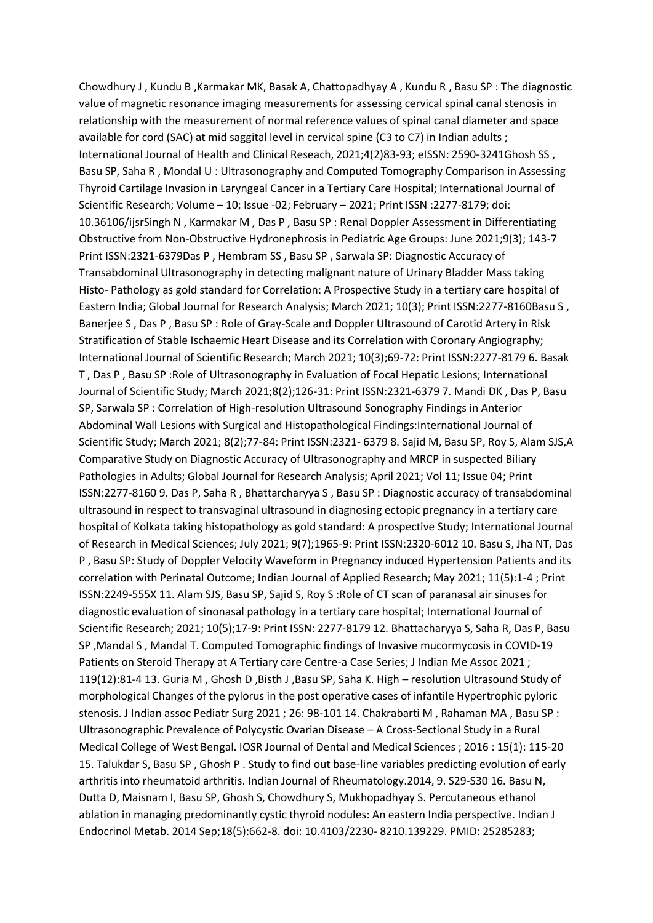Chowdhury J , Kundu B ,Karmakar MK, Basak A, Chattopadhyay A , Kundu R , Basu SP : The diagnostic value of magnetic resonance imaging measurements for assessing cervical spinal canal stenosis in relationship with the measurement of normal reference values of spinal canal diameter and space available for cord (SAC) at mid saggital level in cervical spine (C3 to C7) in Indian adults ; International Journal of Health and Clinical Reseach, 2021;4(2)83-93; eISSN: 2590-3241Ghosh SS , Basu SP, Saha R , Mondal U : Ultrasonography and Computed Tomography Comparison in Assessing Thyroid Cartilage Invasion in Laryngeal Cancer in a Tertiary Care Hospital; International Journal of Scientific Research; Volume – 10; Issue -02; February – 2021; Print ISSN :2277-8179; doi: 10.36106/ijsrSingh N , Karmakar M , Das P , Basu SP : Renal Doppler Assessment in Differentiating Obstructive from Non-Obstructive Hydronephrosis in Pediatric Age Groups: June 2021;9(3); 143-7 Print ISSN:2321-6379Das P , Hembram SS , Basu SP , Sarwala SP: Diagnostic Accuracy of Transabdominal Ultrasonography in detecting malignant nature of Urinary Bladder Mass taking Histo- Pathology as gold standard for Correlation: A Prospective Study in a tertiary care hospital of Eastern India; Global Journal for Research Analysis; March 2021; 10(3); Print ISSN:2277-8160Basu S , Banerjee S , Das P , Basu SP : Role of Gray-Scale and Doppler Ultrasound of Carotid Artery in Risk Stratification of Stable Ischaemic Heart Disease and its Correlation with Coronary Angiography; International Journal of Scientific Research; March 2021; 10(3);69-72: Print ISSN:2277-8179 6. Basak T , Das P , Basu SP :Role of Ultrasonography in Evaluation of Focal Hepatic Lesions; International Journal of Scientific Study; March 2021;8(2);126-31: Print ISSN:2321-6379 7. Mandi DK , Das P, Basu SP, Sarwala SP : Correlation of High-resolution Ultrasound Sonography Findings in Anterior Abdominal Wall Lesions with Surgical and Histopathological Findings:International Journal of Scientific Study; March 2021; 8(2);77-84: Print ISSN:2321- 6379 8. Sajid M, Basu SP, Roy S, Alam SJS,A Comparative Study on Diagnostic Accuracy of Ultrasonography and MRCP in suspected Biliary Pathologies in Adults; Global Journal for Research Analysis; April 2021; Vol 11; Issue 04; Print ISSN:2277-8160 9. Das P, Saha R , Bhattarcharyya S , Basu SP : Diagnostic accuracy of transabdominal ultrasound in respect to transvaginal ultrasound in diagnosing ectopic pregnancy in a tertiary care hospital of Kolkata taking histopathology as gold standard: A prospective Study; International Journal of Research in Medical Sciences; July 2021; 9(7);1965-9: Print ISSN:2320-6012 10. Basu S, Jha NT, Das P , Basu SP: Study of Doppler Velocity Waveform in Pregnancy induced Hypertension Patients and its correlation with Perinatal Outcome; Indian Journal of Applied Research; May 2021; 11(5):1-4 ; Print ISSN:2249-555X 11. Alam SJS, Basu SP, Sajid S, Roy S :Role of CT scan of paranasal air sinuses for diagnostic evaluation of sinonasal pathology in a tertiary care hospital; International Journal of Scientific Research; 2021; 10(5);17-9: Print ISSN: 2277-8179 12. Bhattacharyya S, Saha R, Das P, Basu SP ,Mandal S , Mandal T. Computed Tomographic findings of Invasive mucormycosis in COVID-19 Patients on Steroid Therapy at A Tertiary care Centre-a Case Series; J Indian Me Assoc 2021; 119(12):81-4 13. Guria M , Ghosh D ,Bisth J ,Basu SP, Saha K. High – resolution Ultrasound Study of morphological Changes of the pylorus in the post operative cases of infantile Hypertrophic pyloric stenosis. J Indian assoc Pediatr Surg 2021 ; 26: 98-101 14. Chakrabarti M , Rahaman MA , Basu SP : Ultrasonographic Prevalence of Polycystic Ovarian Disease – A Cross-Sectional Study in a Rural Medical College of West Bengal. IOSR Journal of Dental and Medical Sciences ; 2016 : 15(1): 115-20 15. Talukdar S, Basu SP , Ghosh P . Study to find out base-line variables predicting evolution of early arthritis into rheumatoid arthritis. Indian Journal of Rheumatology.2014, 9. S29-S30 16. Basu N, Dutta D, Maisnam I, Basu SP, Ghosh S, Chowdhury S, Mukhopadhyay S. Percutaneous ethanol ablation in managing predominantly cystic thyroid nodules: An eastern India perspective. Indian J Endocrinol Metab. 2014 Sep;18(5):662-8. doi: 10.4103/2230- 8210.139229. PMID: 25285283;